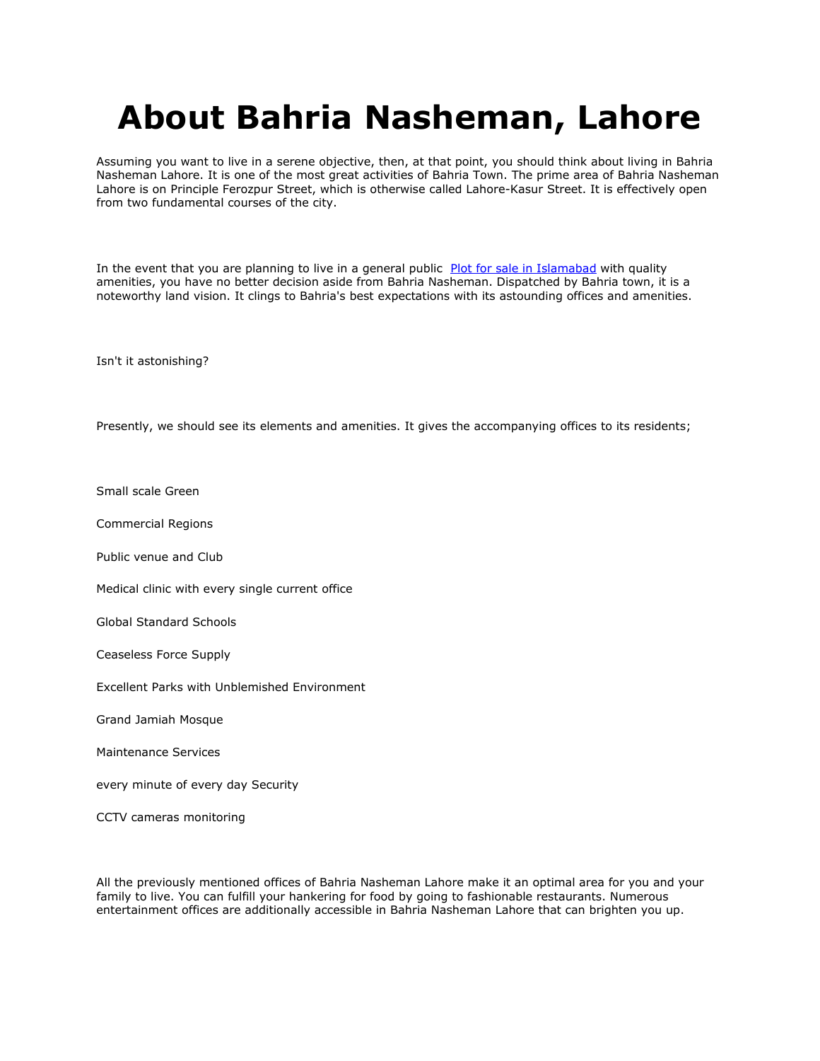## **About Bahria Nasheman, Lahore**

Assuming you want to live in a serene objective, then, at that point, you should think about living in Bahria Nasheman Lahore. It is one of the most great activities of Bahria Town. The prime area of Bahria Nasheman Lahore is on Principle Ferozpur Street, which is otherwise called Lahore-Kasur Street. It is effectively open from two fundamental courses of the city.

In the event that you are planning to live in a general public [Plot for sale in Islamabad](https://gharbaar.com/sale/Plots/Islamabad-11-1) with quality amenities, you have no better decision aside from Bahria Nasheman. Dispatched by Bahria town, it is a noteworthy land vision. It clings to Bahria's best expectations with its astounding offices and amenities.

Isn't it astonishing?

Presently, we should see its elements and amenities. It gives the accompanying offices to its residents;

Small scale Green

Commercial Regions

Public venue and Club

Medical clinic with every single current office

Global Standard Schools

Ceaseless Force Supply

Excellent Parks with Unblemished Environment

Grand Jamiah Mosque

Maintenance Services

every minute of every day Security

CCTV cameras monitoring

All the previously mentioned offices of Bahria Nasheman Lahore make it an optimal area for you and your family to live. You can fulfill your hankering for food by going to fashionable restaurants. Numerous entertainment offices are additionally accessible in Bahria Nasheman Lahore that can brighten you up.